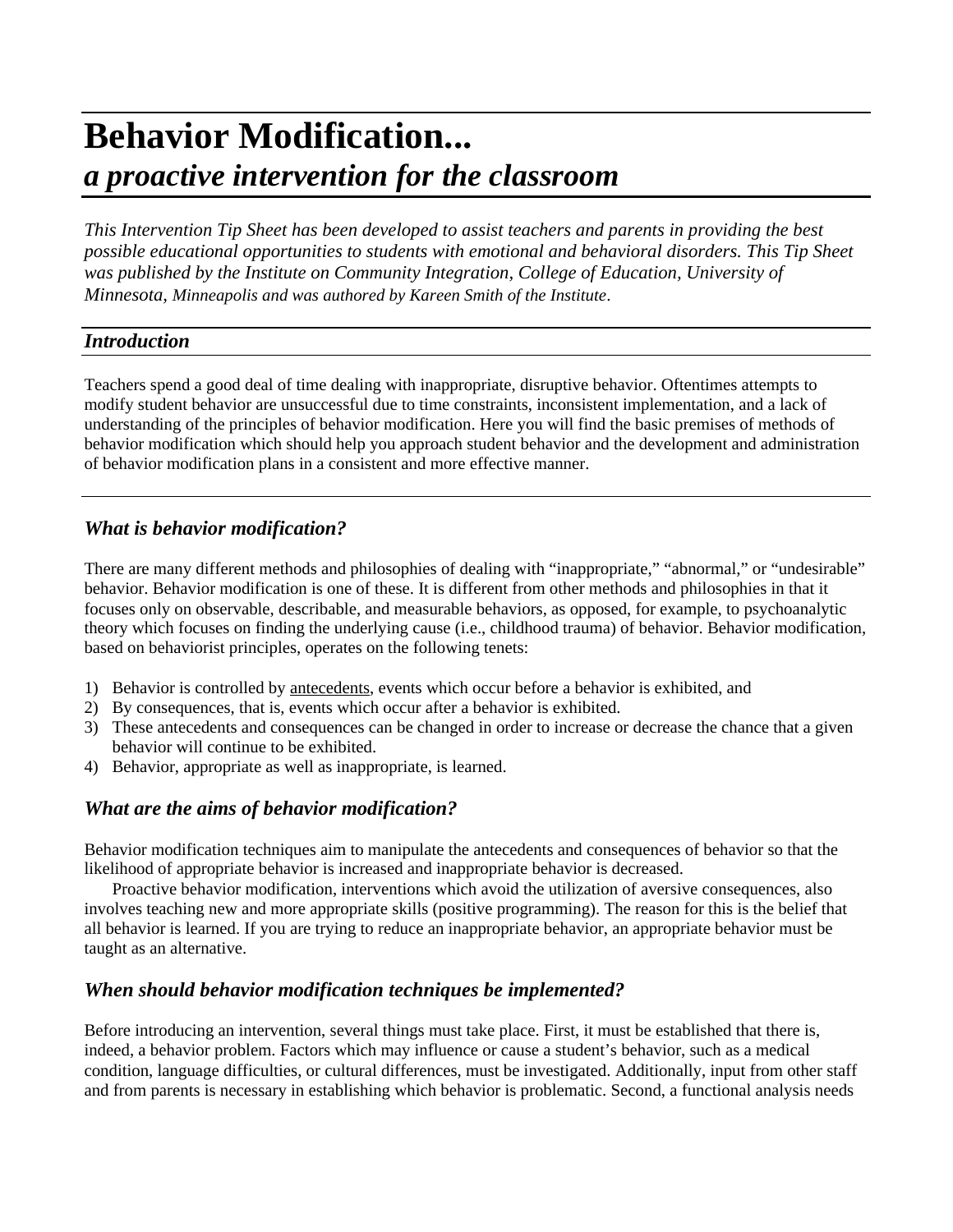# **Behavior Modification...** *a proactive intervention for the classroom*

*This Intervention Tip Sheet has been developed to assist teachers and parents in providing the best possible educational opportunities to students with emotional and behavioral disorders. This Tip Sheet was published by the Institute on Community Integration, College of Education, University of Minnesota, Minneapolis and was authored by Kareen Smith of the Institute*.

### *Introduction*

Teachers spend a good deal of time dealing with inappropriate, disruptive behavior. Oftentimes attempts to modify student behavior are unsuccessful due to time constraints, inconsistent implementation, and a lack of understanding of the principles of behavior modification. Here you will find the basic premises of methods of behavior modification which should help you approach student behavior and the development and administration of behavior modification plans in a consistent and more effective manner.

# *What is behavior modification?*

There are many different methods and philosophies of dealing with "inappropriate," "abnormal," or "undesirable" behavior. Behavior modification is one of these. It is different from other methods and philosophies in that it focuses only on observable, describable, and measurable behaviors, as opposed, for example, to psychoanalytic theory which focuses on finding the underlying cause (i.e., childhood trauma) of behavior. Behavior modification, based on behaviorist principles, operates on the following tenets:

- 1) Behavior is controlled by antecedents, events which occur before a behavior is exhibited, and
- 2) By consequences, that is, events which occur after a behavior is exhibited.
- 3) These antecedents and consequences can be changed in order to increase or decrease the chance that a given behavior will continue to be exhibited.
- 4) Behavior, appropriate as well as inappropriate, is learned.

# *What are the aims of behavior modification?*

Behavior modification techniques aim to manipulate the antecedents and consequences of behavior so that the likelihood of appropriate behavior is increased and inappropriate behavior is decreased.

Proactive behavior modification, interventions which avoid the utilization of aversive consequences, also involves teaching new and more appropriate skills (positive programming). The reason for this is the belief that all behavior is learned. If you are trying to reduce an inappropriate behavior, an appropriate behavior must be taught as an alternative.

### *When should behavior modification techniques be implemented?*

Before introducing an intervention, several things must take place. First, it must be established that there is, indeed, a behavior problem. Factors which may influence or cause a student's behavior, such as a medical condition, language difficulties, or cultural differences, must be investigated. Additionally, input from other staff and from parents is necessary in establishing which behavior is problematic. Second, a functional analysis needs